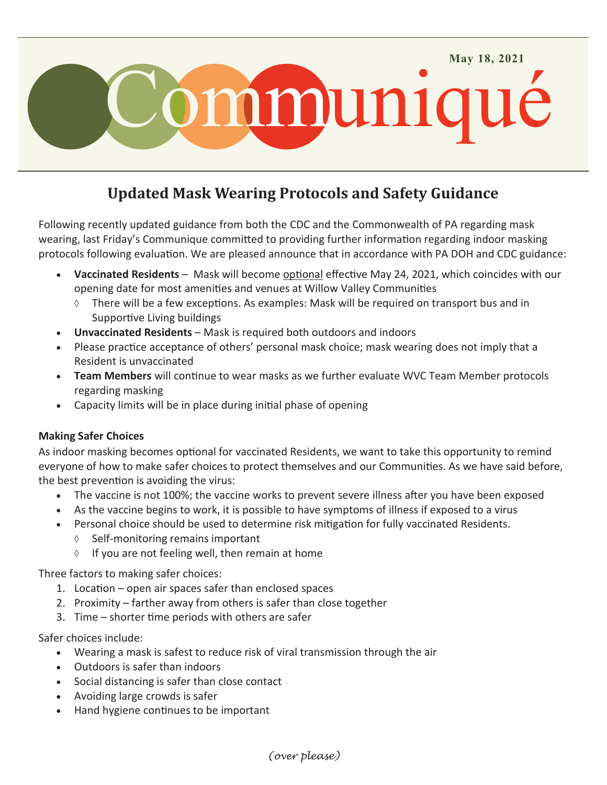

## **Updated Mask Wearing Protocols and Safety Guidance**

Following recently updated guidance from both the CDC and the Commonwealth of PA regarding mask wearing, last Friday's Communique committed to providing further information regarding indoor masking protocols following evaluation. We are pleased announce that in accordance with PA DOH and CDC guidance:

- **Vaccinated Residents**  Mask will become optional effective May 24, 2021, which coincides with our opening date for most amenities and venues at Willow Valley Communities
	- There will be a few exceptions. As examples: Mask will be required on transport bus and in Supportive Living buildings
- **Unvaccinated Residents** Mask is required both outdoors and indoors
- Please practice acceptance of others' personal mask choice; mask wearing does not imply that a Resident is unvaccinated
- **Team Members** will continue to wear masks as we further evaluate WVC Team Member protocols regarding masking
- Capacity limits will be in place during initial phase of opening

## **Making Safer Choices**

As indoor masking becomes optional for vaccinated Residents, we want to take this opportunity to remind everyone of how to make safer choices to protect themselves and our Communities. As we have said before, the best prevention is avoiding the virus:

- The vaccine is not 100%; the vaccine works to prevent severe illness after you have been exposed
- As the vaccine begins to work, it is possible to have symptoms of illness if exposed to a virus
- Personal choice should be used to determine risk mitigation for fully vaccinated Residents.
	- $\Diamond$  Self-monitoring remains important
	- $\Diamond$  If you are not feeling well, then remain at home

Three factors to making safer choices:

- 1. Location open air spaces safer than enclosed spaces
- 2. Proximity farther away from others is safer than close together
- 3. Time shorter time periods with others are safer

## Safer choices include:

- Wearing a mask is safest to reduce risk of viral transmission through the air
- Outdoors is safer than indoors
- Social distancing is safer than close contact
- Avoiding large crowds is safer
- Hand hygiene continues to be important